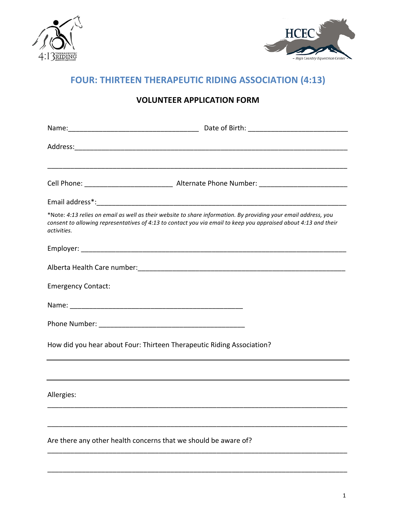



# **FOUR: THIRTEEN THERAPEUTIC RIDING ASSOCIATION (4:13)**

| activities.                                                           | *Note: 4:13 relies on email as well as their website to share information. By providing your email address, you<br>consent to allowing representatives of 4:13 to contact you via email to keep you appraised about 4:13 and their |
|-----------------------------------------------------------------------|------------------------------------------------------------------------------------------------------------------------------------------------------------------------------------------------------------------------------------|
|                                                                       |                                                                                                                                                                                                                                    |
|                                                                       |                                                                                                                                                                                                                                    |
| <b>Emergency Contact:</b>                                             |                                                                                                                                                                                                                                    |
|                                                                       |                                                                                                                                                                                                                                    |
|                                                                       |                                                                                                                                                                                                                                    |
| How did you hear about Four: Thirteen Therapeutic Riding Association? |                                                                                                                                                                                                                                    |
|                                                                       |                                                                                                                                                                                                                                    |
| Allergies:                                                            |                                                                                                                                                                                                                                    |
|                                                                       |                                                                                                                                                                                                                                    |
| Are there any other health concerns that we should be aware of?       |                                                                                                                                                                                                                                    |

\_\_\_\_\_\_\_\_\_\_\_\_\_\_\_\_\_\_\_\_\_\_\_\_\_\_\_\_\_\_\_\_\_\_\_\_\_\_\_\_\_\_\_\_\_\_\_\_\_\_\_\_\_\_\_\_\_\_\_\_\_\_\_\_\_\_\_\_\_\_\_\_\_\_\_\_\_\_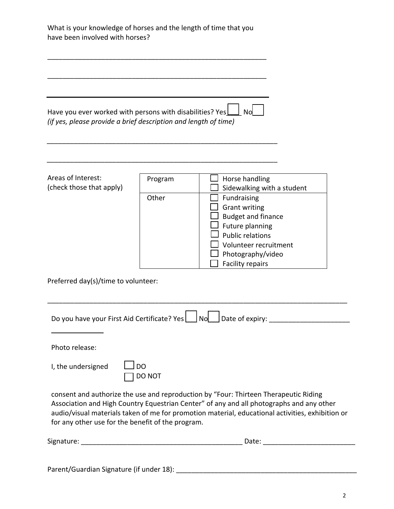| What is your knowledge of horses and the length of time that you<br>have been involved with horses?                         |                     |                                                                                                                                                                                                                                                                                      |
|-----------------------------------------------------------------------------------------------------------------------------|---------------------|--------------------------------------------------------------------------------------------------------------------------------------------------------------------------------------------------------------------------------------------------------------------------------------|
|                                                                                                                             |                     |                                                                                                                                                                                                                                                                                      |
| Have you ever worked with persons with disabilities? Yes<br>(if yes, please provide a brief description and length of time) |                     | <b>No</b>                                                                                                                                                                                                                                                                            |
|                                                                                                                             |                     |                                                                                                                                                                                                                                                                                      |
| Areas of Interest:                                                                                                          | Program             | Horse handling                                                                                                                                                                                                                                                                       |
| (check those that apply)                                                                                                    |                     | Sidewalking with a student                                                                                                                                                                                                                                                           |
|                                                                                                                             | Other               | Fundraising                                                                                                                                                                                                                                                                          |
|                                                                                                                             |                     | <b>Grant writing</b>                                                                                                                                                                                                                                                                 |
|                                                                                                                             |                     | <b>Budget and finance</b>                                                                                                                                                                                                                                                            |
|                                                                                                                             |                     | Future planning<br><b>Public relations</b>                                                                                                                                                                                                                                           |
|                                                                                                                             |                     | Volunteer recruitment                                                                                                                                                                                                                                                                |
|                                                                                                                             |                     |                                                                                                                                                                                                                                                                                      |
|                                                                                                                             |                     | Photography/video<br><b>Facility repairs</b>                                                                                                                                                                                                                                         |
| Preferred day(s)/time to volunteer:                                                                                         |                     |                                                                                                                                                                                                                                                                                      |
|                                                                                                                             |                     |                                                                                                                                                                                                                                                                                      |
| Photo release:                                                                                                              |                     |                                                                                                                                                                                                                                                                                      |
| I, the undersigned                                                                                                          | <b>DO</b><br>DO NOT |                                                                                                                                                                                                                                                                                      |
| for any other use for the benefit of the program.                                                                           |                     | consent and authorize the use and reproduction by "Four: Thirteen Therapeutic Riding<br>Association and High Country Equestrian Center" of any and all photographs and any other<br>audio/visual materials taken of me for promotion material, educational activities, exhibition or |
|                                                                                                                             |                     |                                                                                                                                                                                                                                                                                      |
|                                                                                                                             |                     |                                                                                                                                                                                                                                                                                      |

Parent/Guardian Signature (if under 18): \_\_\_\_\_\_\_\_\_\_\_\_\_\_\_\_\_\_\_\_\_\_\_\_\_\_\_\_\_\_\_\_\_\_\_\_\_\_\_\_\_\_\_\_\_\_\_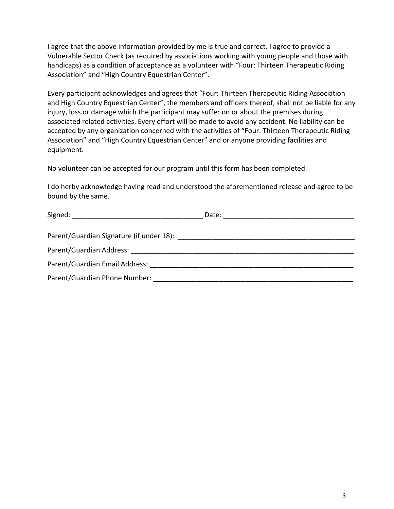I agree that the above information provided by me is true and correct. I agree to provide a Vulnerable Sector Check (as required by associations working with young people and those with handicaps) as a condition of acceptance as a volunteer with "Four: Thirteen Therapeutic Riding Association" and "High Country Equestrian Center".

Every participant acknowledges and agrees that "Four: Thirteen Therapeutic Riding Association and High Country Equestrian Center", the members and officers thereof, shall not be liable for any injury, loss or damage which the participant may suffer on or about the premises during associated related activities. Every effort will be made to avoid any accident. No liability can be accepted by any organization concerned with the activities of "Four: Thirteen Therapeutic Riding Association" and "High Country Equestrian Center" and or anyone providing facilities and equipment.

No volunteer can be accepted for our program until this form has been completed.

I do herby acknowledge having read and understood the aforementioned release and agree to be bound by the same.

|                                                                                                                                                                                                                                | Date:<br><u> 2001 - Jan Samuel Barbara, manazarta da kasar 1992 - Antonio Alemania da San San San San San San San San San S</u> |
|--------------------------------------------------------------------------------------------------------------------------------------------------------------------------------------------------------------------------------|---------------------------------------------------------------------------------------------------------------------------------|
|                                                                                                                                                                                                                                |                                                                                                                                 |
| Parent/Guardian Signature (if under 18): [19] Parent/Guardian Signature (if under 18):                                                                                                                                         |                                                                                                                                 |
|                                                                                                                                                                                                                                |                                                                                                                                 |
| Parent/Guardian Email Address: North and Search and Search and Search and Search and Search and Search and Search and Search and Search and Search and Search and Search and Search and Search and Search and Search and Searc |                                                                                                                                 |
| Parent/Guardian Phone Number:                                                                                                                                                                                                  |                                                                                                                                 |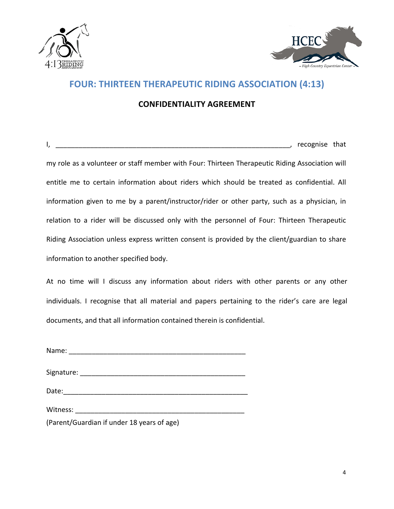



## **FOUR: THIRTEEN THERAPEUTIC RIDING ASSOCIATION (4:13)**

## **CONFIDENTIALITY AGREEMENT**

I, \_\_\_\_\_\_\_\_\_\_\_\_\_\_\_\_\_\_\_\_\_\_\_\_\_\_\_\_\_\_\_\_\_\_\_\_\_\_\_\_\_\_\_\_\_\_\_\_\_\_\_\_\_\_\_\_\_\_\_\_\_, recognise that 

my role as a volunteer or staff member with Four: Thirteen Therapeutic Riding Association will entitle me to certain information about riders which should be treated as confidential. All information given to me by a parent/instructor/rider or other party, such as a physician, in relation to a rider will be discussed only with the personnel of Four: Thirteen Therapeutic Riding Association unless express written consent is provided by the client/guardian to share information to another specified body.

At no time will I discuss any information about riders with other parents or any other individuals. I recognise that all material and papers pertaining to the rider's care are legal documents, and that all information contained therein is confidential.

Name:

Signature: \_\_\_\_\_\_\_\_\_\_\_\_\_\_\_\_\_\_\_\_\_\_\_\_\_\_\_\_\_\_\_\_\_\_\_\_\_\_\_\_\_\_\_

Date:

Witness: witness:

(Parent/Guardian if under 18 years of age)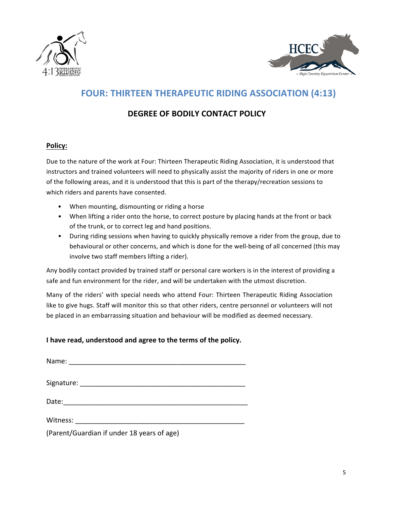



## **FOUR: THIRTEEN THERAPEUTIC RIDING ASSOCIATION (4:13)**

## **DEGREE OF BODILY CONTACT POLICY**

### **Policy:**

Due to the nature of the work at Four: Thirteen Therapeutic Riding Association, it is understood that instructors and trained volunteers will need to physically assist the majority of riders in one or more of the following areas, and it is understood that this is part of the therapy/recreation sessions to which riders and parents have consented.

- When mounting, dismounting or riding a horse
- When lifting a rider onto the horse, to correct posture by placing hands at the front or back of the trunk, or to correct leg and hand positions.
- During riding sessions when having to quickly physically remove a rider from the group, due to behavioural or other concerns, and which is done for the well-being of all concerned (this may involve two staff members lifting a rider).

Any bodily contact provided by trained staff or personal care workers is in the interest of providing a safe and fun environment for the rider, and will be undertaken with the utmost discretion.

Many of the riders' with special needs who attend Four: Thirteen Therapeutic Riding Association like to give hugs. Staff will monitor this so that other riders, centre personnel or volunteers will not be placed in an embarrassing situation and behaviour will be modified as deemed necessary.

### **I** have read, understood and agree to the terms of the policy.

| Name: _________________________            |
|--------------------------------------------|
|                                            |
|                                            |
|                                            |
| (Parent/Guardian if under 18 years of age) |